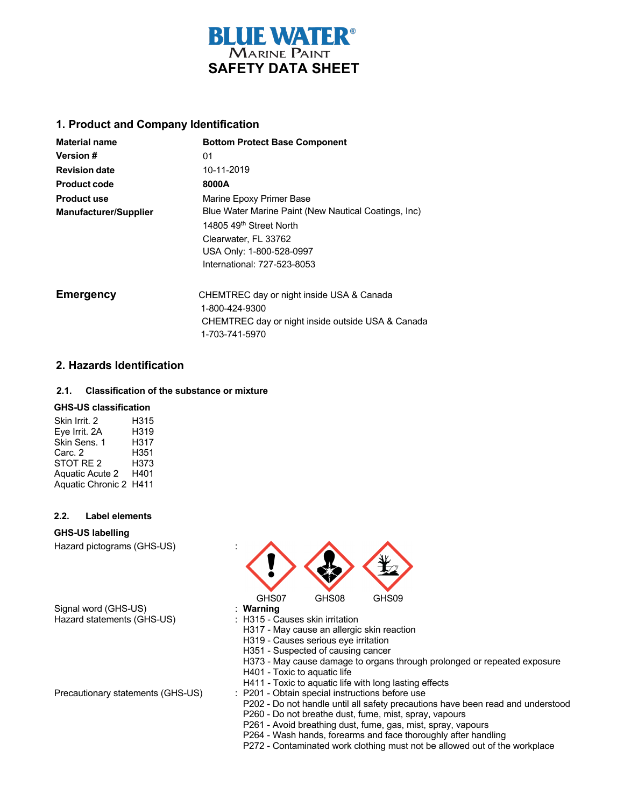

## **1. Product and Company Identification**

| <b>Material name</b>         | <b>Bottom Protect Base Component</b>                 |  |
|------------------------------|------------------------------------------------------|--|
| <b>Version #</b>             | 01                                                   |  |
| <b>Revision date</b>         | 10-11-2019                                           |  |
| <b>Product code</b>          | 8000A                                                |  |
| <b>Product use</b>           | Marine Epoxy Primer Base                             |  |
| <b>Manufacturer/Supplier</b> | Blue Water Marine Paint (New Nautical Coatings, Inc) |  |
|                              | 14805 49 <sup>th</sup> Street North                  |  |
|                              | Clearwater, FL 33762                                 |  |
|                              | USA Only: 1-800-528-0997                             |  |
|                              | International: 727-523-8053                          |  |
| <b>Emergency</b>             | CHEMTREC day or night inside USA & Canada            |  |
|                              | 1-800-424-9300                                       |  |
|                              | CHEMTREC day or night inside outside USA & Canada    |  |
|                              | 1-703-741-5970                                       |  |

## **2. Hazards Identification**

## **2.1. Classification of the substance or mixture**

## **GHS-US classification**

| Skin Irrit, 2          | H315 |
|------------------------|------|
| Eve Irrit. 2A          | H319 |
| Skin Sens. 1           | H317 |
| Carc. 2                | H351 |
| STOT RE <sub>2</sub>   | H373 |
| <b>Aquatic Acute 2</b> | H401 |
| Aquatic Chronic 2 H411 |      |

### **2.2. Label elements**

#### **GHS-US labelling**

Hazard pictograms (GHS-US) :

Signal word (GHS-US) **: Warning**<br>
Hazard statements (GHS-US) : H315 - Causes skin irritation Hazard statements (GHS-US)



- 
- H317 May cause an allergic skin reaction
- H319 Causes serious eye irritation
- H351 Suspected of causing cancer
- H373 May cause damage to organs through prolonged or repeated exposure
- H401 Toxic to aquatic life
- H411 Toxic to aquatic life with long lasting effects
- Precautionary statements (GHS-US) : P201 Obtain special instructions before use
	- P202 Do not handle until all safety precautions have been read and understood
	- P260 Do not breathe dust, fume, mist, spray, vapours
	- P261 Avoid breathing dust, fume, gas, mist, spray, vapours
	- P264 Wash hands, forearms and face thoroughly after handling
	- P272 Contaminated work clothing must not be allowed out of the workplace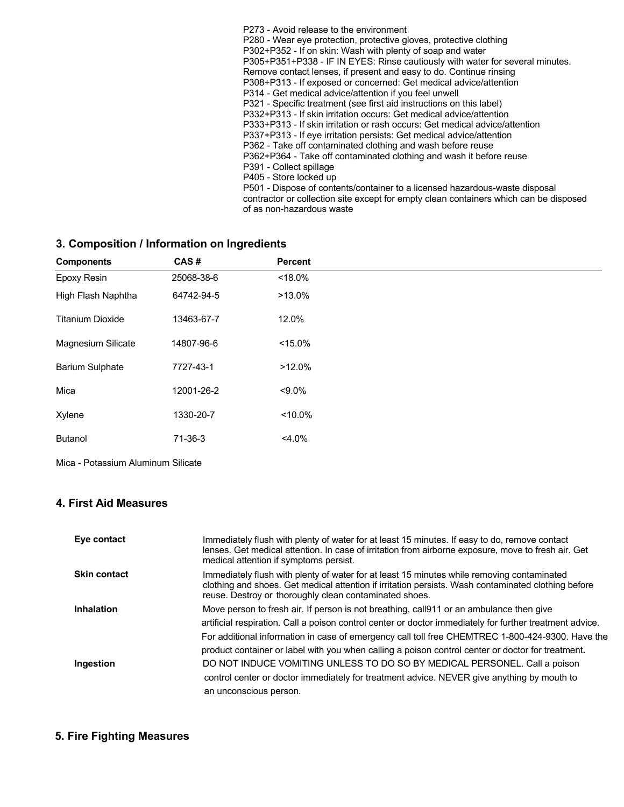P273 - Avoid release to the environment P280 - Wear eye protection, protective gloves, protective clothing P302+P352 - If on skin: Wash with plenty of soap and water P305+P351+P338 - IF IN EYES: Rinse cautiously with water for several minutes. Remove contact lenses, if present and easy to do. Continue rinsing P308+P313 - If exposed or concerned: Get medical advice/attention P314 - Get medical advice/attention if you feel unwell P321 - Specific treatment (see first aid instructions on this label) P332+P313 - If skin irritation occurs: Get medical advice/attention P333+P313 - If skin irritation or rash occurs: Get medical advice/attention P337+P313 - If eye irritation persists: Get medical advice/attention P362 - Take off contaminated clothing and wash before reuse P362+P364 - Take off contaminated clothing and wash it before reuse P391 - Collect spillage P405 - Store locked up P501 - Dispose of contents/container to a licensed hazardous-waste disposal contractor or collection site except for empty clean containers which can be disposed of as non-hazardous waste

## **3. Composition / Information on Ingredients**

| <b>Components</b>       | CAS#       | Percent    |
|-------------------------|------------|------------|
| Epoxy Resin             | 25068-38-6 | $< 18.0\%$ |
| High Flash Naphtha      | 64742-94-5 | $>13.0\%$  |
| <b>Titanium Dioxide</b> | 13463-67-7 | 12.0%      |
| Magnesium Silicate      | 14807-96-6 | $< 15.0\%$ |
| <b>Barium Sulphate</b>  | 7727-43-1  | $>12.0\%$  |
| Mica                    | 12001-26-2 | $< 9.0\%$  |
| Xylene                  | 1330-20-7  | $< 10.0\%$ |
| <b>Butanol</b>          | 71-36-3    | $4.0\%$    |

Mica - Potassium Aluminum Silicate

## **4. First Aid Measures**

| Eye contact         | Immediately flush with plenty of water for at least 15 minutes. If easy to do, remove contact<br>lenses. Get medical attention. In case of irritation from airborne exposure, move to fresh air. Get<br>medical attention if symptoms persist.                                                                                                                                                                |
|---------------------|---------------------------------------------------------------------------------------------------------------------------------------------------------------------------------------------------------------------------------------------------------------------------------------------------------------------------------------------------------------------------------------------------------------|
| <b>Skin contact</b> | Immediately flush with plenty of water for at least 15 minutes while removing contaminated<br>clothing and shoes. Get medical attention if irritation persists. Wash contaminated clothing before<br>reuse. Destroy or thoroughly clean contaminated shoes.                                                                                                                                                   |
| Inhalation          | Move person to fresh air. If person is not breathing, call 911 or an ambulance then give<br>artificial respiration. Call a poison control center or doctor immediately for further treatment advice.<br>For additional information in case of emergency call toll free CHEMTREC 1-800-424-9300. Have the<br>product container or label with you when calling a poison control center or doctor for treatment. |
| Ingestion           | DO NOT INDUCE VOMITING UNLESS TO DO SO BY MEDICAL PERSONEL. Call a poison<br>control center or doctor immediately for treatment advice. NEVER give anything by mouth to<br>an unconscious person.                                                                                                                                                                                                             |

## **5. Fire Fighting Measures**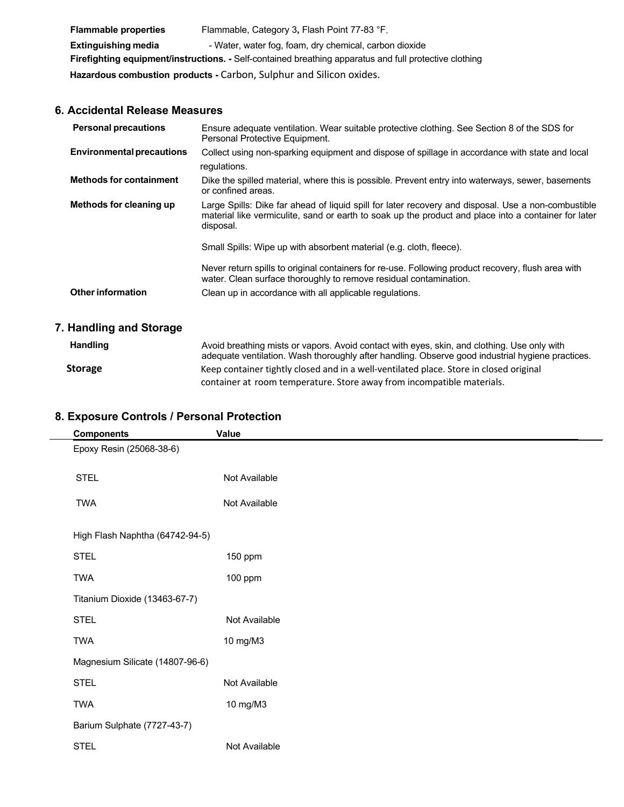| <b>Flammable properties</b>                                                                            | Flammable, Category 3, Flash Point 77-83 °F.           |  |
|--------------------------------------------------------------------------------------------------------|--------------------------------------------------------|--|
| <b>Extinguishing media</b>                                                                             | - Water, water fog, foam, dry chemical, carbon dioxide |  |
| Firefighting equipment/instructions. - Self-contained breathing apparatus and full protective clothing |                                                        |  |
| Hazardous combustion products - Carbon, Sulphur and Silicon oxides.                                    |                                                        |  |
|                                                                                                        |                                                        |  |

## **6. Accidental Release Measures**

| Collect using non-sparking equipment and dispose of spillage in accordance with state and local<br>regulations.<br>Dike the spilled material, where this is possible. Prevent entry into waterways, sewer, basements<br>or confined areas. |
|--------------------------------------------------------------------------------------------------------------------------------------------------------------------------------------------------------------------------------------------|
|                                                                                                                                                                                                                                            |
|                                                                                                                                                                                                                                            |
| Large Spills: Dike far ahead of liquid spill for later recovery and disposal. Use a non-combustible<br>material like vermiculite, sand or earth to soak up the product and place into a container for later<br>disposal.                   |
| Small Spills: Wipe up with absorbent material (e.g. cloth, fleece).                                                                                                                                                                        |
| Never return spills to original containers for re-use. Following product recovery, flush area with<br>water. Clean surface thoroughly to remove residual contamination.                                                                    |
| Clean up in accordance with all applicable regulations.                                                                                                                                                                                    |
|                                                                                                                                                                                                                                            |

# **7. Handling and Storage**

| <b>Handling</b> | Avoid breathing mists or vapors. Avoid contact with eyes, skin, and clothing. Use only with<br>adequate ventilation. Wash thoroughly after handling. Observe good industrial hygiene practices. |
|-----------------|-------------------------------------------------------------------------------------------------------------------------------------------------------------------------------------------------|
| <b>Storage</b>  | Keep container tightly closed and in a well-ventilated place. Store in closed original                                                                                                          |
|                 | container at room temperature. Store away from incompatible materials.                                                                                                                          |

| <b>Components</b>               | Value         |  |
|---------------------------------|---------------|--|
| Epoxy Resin (25068-38-6)        |               |  |
| <b>STEL</b>                     | Not Available |  |
| <b>TWA</b>                      | Not Available |  |
| High Flash Naphtha (64742-94-5) |               |  |
| <b>STEL</b>                     | 150 ppm       |  |
| <b>TWA</b>                      | 100 ppm       |  |
| Titanium Dioxide (13463-67-7)   |               |  |
| <b>STEL</b>                     | Not Available |  |
| <b>TWA</b>                      | 10 mg/M3      |  |
| Magnesium Silicate (14807-96-6) |               |  |
| <b>STEL</b>                     | Not Available |  |
| <b>TWA</b>                      | 10 mg/M3      |  |
| Barium Sulphate (7727-43-7)     |               |  |
| <b>STEL</b>                     | Not Available |  |

# **8. Exposure Controls / Personal Protection**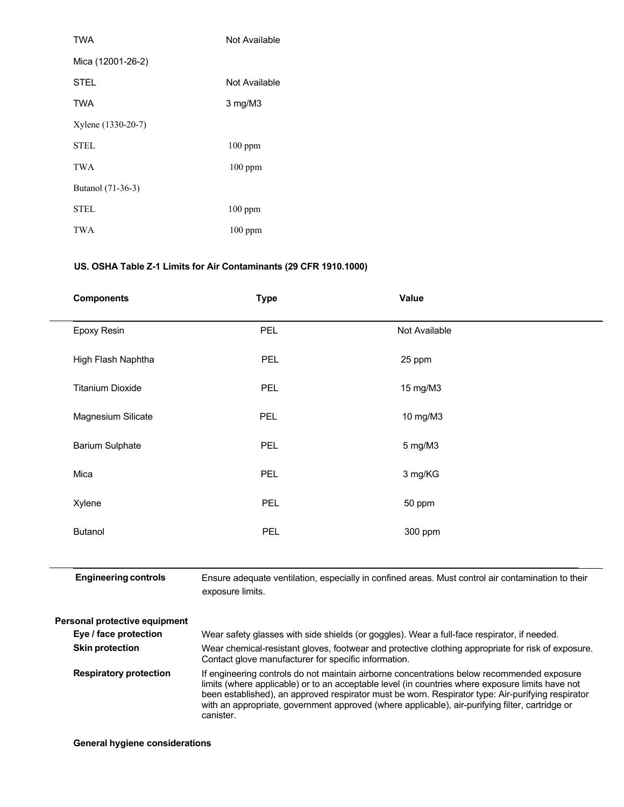| <b>TWA</b>         | Not Available |
|--------------------|---------------|
| Mica (12001-26-2)  |               |
| STEL               | Not Available |
| TWA                | 3 mg/M3       |
| Xylene (1330-20-7) |               |
| <b>STEL</b>        | $100$ ppm     |
| TWA                | $100$ ppm     |
| Butanol (71-36-3)  |               |
| <b>STEL</b>        | 100 ppm       |
| TWA                | $100$ ppm     |

# **US. OSHA Table Z-1 Limits for Air Contaminants (29 CFR 1910.1000)**

| <b>Components</b>       | <b>Type</b> | Value         |
|-------------------------|-------------|---------------|
| Epoxy Resin             | <b>PEL</b>  | Not Available |
| High Flash Naphtha      | <b>PEL</b>  | 25 ppm        |
| <b>Titanium Dioxide</b> | <b>PEL</b>  | 15 mg/M3      |
| Magnesium Silicate      | <b>PEL</b>  | 10 mg/M3      |
| <b>Barium Sulphate</b>  | <b>PEL</b>  | 5 mg/M3       |
| Mica                    | <b>PEL</b>  | 3 mg/KG       |
| Xylene                  | <b>PEL</b>  | 50 ppm        |
| Butanol                 | <b>PEL</b>  | 300 ppm       |
|                         |             |               |

 **Engineering controls** Ensure adequate ventilation, especially in confined areas. Must control air contamination to their exposure limits.

| <b>Personal protective equipment</b> |                                                                                                                                                                                                                                                                                                                                                                                                                     |  |
|--------------------------------------|---------------------------------------------------------------------------------------------------------------------------------------------------------------------------------------------------------------------------------------------------------------------------------------------------------------------------------------------------------------------------------------------------------------------|--|
| Eye / face protection                | Wear safety glasses with side shields (or goggles). Wear a full-face respirator, if needed.                                                                                                                                                                                                                                                                                                                         |  |
| <b>Skin protection</b>               | Wear chemical-resistant gloves, footwear and protective clothing appropriate for risk of exposure.<br>Contact glove manufacturer for specific information.                                                                                                                                                                                                                                                          |  |
| <b>Respiratory protection</b>        | If engineering controls do not maintain airborne concentrations below recommended exposure<br>limits (where applicable) or to an acceptable level (in countries where exposure limits have not<br>been established), an approved respirator must be worn. Respirator type: Air-purifying respirator<br>with an appropriate, government approved (where applicable), air-purifying filter, cartridge or<br>canister. |  |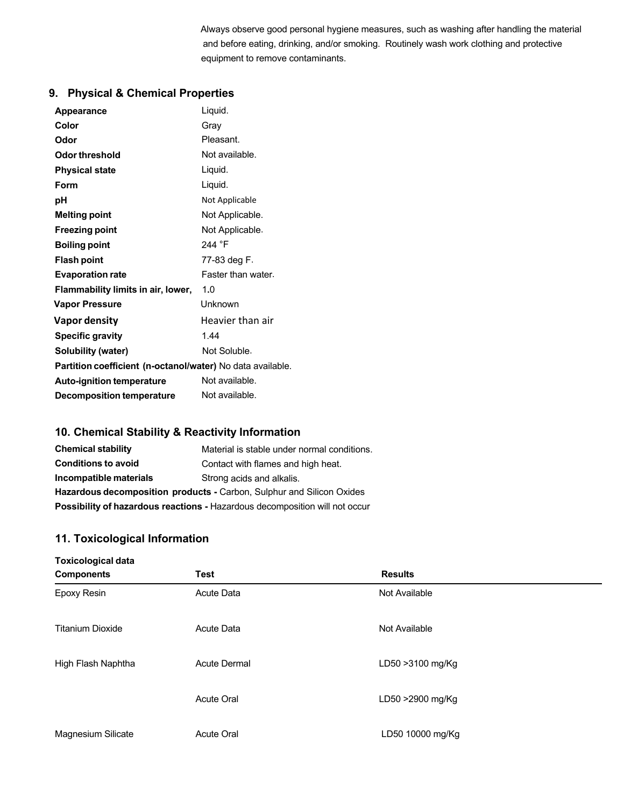Always observe good personal hygiene measures, such as washing after handling the material and before eating, drinking, and/or smoking. Routinely wash work clothing and protective equipment to remove contaminants.

# **9. Physical & Chemical Properties**

| <b>Appearance</b>                                          | Liquid.            |  |
|------------------------------------------------------------|--------------------|--|
| Color                                                      | Grav               |  |
| Odor                                                       | Pleasant.          |  |
| Odor threshold                                             | Not available.     |  |
| <b>Physical state</b>                                      | Liquid.            |  |
| Form                                                       | Liquid.            |  |
| рH                                                         | Not Applicable     |  |
| <b>Melting point</b>                                       | Not Applicable.    |  |
| <b>Freezing point</b>                                      | Not Applicable.    |  |
| <b>Boiling point</b>                                       | 244 °F             |  |
| <b>Flash point</b>                                         | 77-83 deg F.       |  |
| <b>Evaporation rate</b>                                    | Faster than water. |  |
| Flammability limits in air, lower,                         | 1.0                |  |
| <b>Vapor Pressure</b>                                      | Unknown            |  |
| <b>Vapor density</b>                                       | Heavier than air   |  |
| <b>Specific gravity</b>                                    | 144                |  |
| Solubility (water)                                         | Not Soluble.       |  |
| Partition coefficient (n-octanol/water) No data available. |                    |  |
| <b>Auto-ignition temperature</b>                           | Not available.     |  |
| <b>Decomposition temperature</b>                           | Not available.     |  |

# **10. Chemical Stability & Reactivity Information**

| <b>Chemical stability</b>                                                          | Material is stable under normal conditions. |
|------------------------------------------------------------------------------------|---------------------------------------------|
| <b>Conditions to avoid</b>                                                         | Contact with flames and high heat.          |
| Incompatible materials                                                             | Strong acids and alkalis.                   |
| <b>Hazardous decomposition products - Carbon, Sulphur and Silicon Oxides</b>       |                                             |
| <b>Possibility of hazardous reactions - Hazardous decomposition will not occur</b> |                                             |

# **11. Toxicological Information**

| <b>Toxicological data</b> |                     |                  |
|---------------------------|---------------------|------------------|
| <b>Components</b>         | <b>Test</b>         | <b>Results</b>   |
| Epoxy Resin               | Acute Data          | Not Available    |
| <b>Titanium Dioxide</b>   | Acute Data          | Not Available    |
| High Flash Naphtha        | <b>Acute Dermal</b> | LD50 >3100 mg/Kg |
|                           | <b>Acute Oral</b>   | LD50 >2900 mg/Kg |
| Magnesium Silicate        | <b>Acute Oral</b>   | LD50 10000 mg/Kg |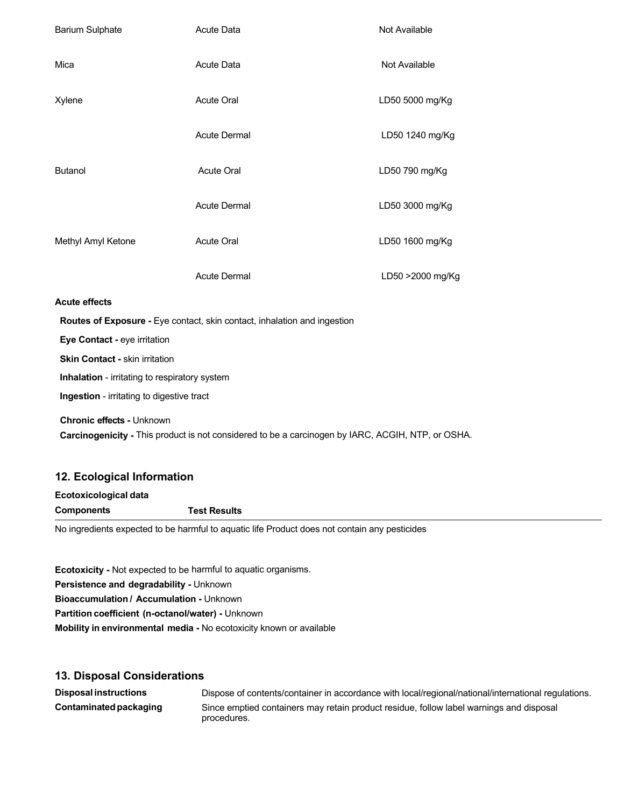| <b>Barium Sulphate</b>         | <b>Acute Data</b>                                                        | Not Available    |
|--------------------------------|--------------------------------------------------------------------------|------------------|
| Mica                           | <b>Acute Data</b>                                                        | Not Available    |
| Xylene                         | <b>Acute Oral</b>                                                        | LD50 5000 mg/Kg  |
|                                | <b>Acute Dermal</b>                                                      | LD50 1240 mg/Kg  |
| <b>Butanol</b>                 | <b>Acute Oral</b>                                                        | LD50 790 mg/Kg   |
|                                | <b>Acute Dermal</b>                                                      | LD50 3000 mg/Kg  |
| Methyl Amyl Ketone             | <b>Acute Oral</b>                                                        | LD50 1600 mg/Kg  |
|                                | <b>Acute Dermal</b>                                                      | LD50 >2000 mg/Kg |
| <b>Acute effects</b>           |                                                                          |                  |
|                                | Routes of Exposure - Eye contact, skin contact, inhalation and ingestion |                  |
| Eye Contact - eye irritation   |                                                                          |                  |
| Skin Contact - skin irritation |                                                                          |                  |

**Inhalation** - irritating to respiratory system

 **Ingestion** - irritating to digestive tract

 **Chronic effects -** Unknown  **Carcinogenicity -** This product is not considered to be a carcinogen by IARC, ACGIH, NTP, or OSHA.

## **12. Ecological Information**

| Ecotoxicological data                                                                         |                     |
|-----------------------------------------------------------------------------------------------|---------------------|
| Components                                                                                    | <b>Test Results</b> |
| No ingrediente evangted te he hormful te caugtie life Dreduct dese net contain any necticides |                     |

No ingredients expected to be harmful to aquatic life Product does not contain any pesticides

**Ecotoxicity -** Not expected to be harmful to aquatic organisms. **Persistence and degradability -** Unknown **Bioaccumulation / Accumulation -** Unknown **Partition coefficient (n-octanol/water) -** Unknown **Mobility in environmental media -** No ecotoxicity known or available

## **13. Disposal Considerations**

| <b>Disposal instructions</b> | Dispose of contents/container in accordance with local/regional/national/international regulations.    |
|------------------------------|--------------------------------------------------------------------------------------------------------|
| Contaminated packaging       | Since emptied containers may retain product residue, follow label warnings and disposal<br>procedures. |